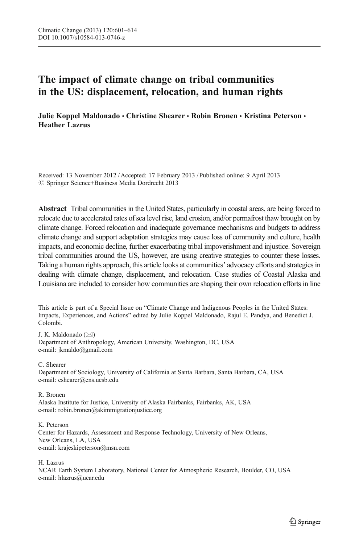# The impact of climate change on tribal communities in the US: displacement, relocation, and human rights

Julie Koppel Maldonado • Christine Shearer • Robin Bronen • Kristina Peterson • Heather Lazrus

Received: 13 November 2012 / Accepted: 17 February 2013 / Published online: 9 April 2013  $\oslash$  Springer Science+Business Media Dordrecht 2013

Abstract Tribal communities in the United States, particularly in coastal areas, are being forced to relocate due to accelerated rates of sea level rise, land erosion, and/or permafrost thaw brought on by climate change. Forced relocation and inadequate governance mechanisms and budgets to address climate change and support adaptation strategies may cause loss of community and culture, health impacts, and economic decline, further exacerbating tribal impoverishment and injustice. Sovereign tribal communities around the US, however, are using creative strategies to counter these losses. Taking a human rights approach, this article looks at communities' advocacy efforts and strategies in dealing with climate change, displacement, and relocation. Case studies of Coastal Alaska and Louisiana are included to consider how communities are shaping their own relocation efforts in line

J. K. Maldonado  $(\boxtimes)$ Department of Anthropology, American University, Washington, DC, USA e-mail: jkmaldo@gmail.com

C. Shearer Department of Sociology, University of California at Santa Barbara, Santa Barbara, CA, USA e-mail: cshearer@cns.ucsb.edu

R. Bronen Alaska Institute for Justice, University of Alaska Fairbanks, Fairbanks, AK, USA

e-mail: robin.bronen@akimmigrationjustice.org

K. Peterson

Center for Hazards, Assessment and Response Technology, University of New Orleans, New Orleans, LA, USA e-mail: krajeskipeterson@msn.com

H. Lazrus

NCAR Earth System Laboratory, National Center for Atmospheric Research, Boulder, CO, USA e-mail: hlazrus@ucar.edu

This article is part of a Special Issue on "Climate Change and Indigenous Peoples in the United States: Impacts, Experiences, and Actions" edited by Julie Koppel Maldonado, Rajul E. Pandya, and Benedict J. Colombi.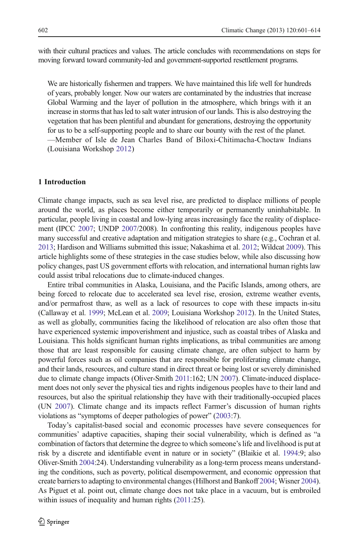with their cultural practices and values. The article concludes with recommendations on steps for moving forward toward community-led and government-supported resettlement programs.

We are historically fishermen and trappers. We have maintained this life well for hundreds of years, probably longer. Now our waters are contaminated by the industries that increase Global Warming and the layer of pollution in the atmosphere, which brings with it an increase in storms that has led to salt water intrusion of our lands. This is also destroying the vegetation that has been plentiful and abundant for generations, destroying the opportunity for us to be a self-supporting people and to share our bounty with the rest of the planet. —Member of Isle de Jean Charles Band of Biloxi-Chitimacha-Choctaw Indians (Louisiana Workshop [2012](#page-12-0))

## 1 Introduction

Climate change impacts, such as sea level rise, are predicted to displace millions of people around the world, as places become either temporarily or permanently uninhabitable. In particular, people living in coastal and low-lying areas increasingly face the reality of displacement (IPCC [2007](#page-12-0); UNDP [2007/](#page-13-0)2008). In confronting this reality, indigenous peoples have many successful and creative adaptation and mitigation strategies to share (e.g., Cochran et al. [2013](#page-11-0); Hardison and Williams submitted this issue; Nakashima et al. [2012;](#page-12-0) Wildcat [2009\)](#page-13-0). This article highlights some of these strategies in the case studies below, while also discussing how policy changes, past US government efforts with relocation, and international human rights law could assist tribal relocations due to climate-induced changes.

Entire tribal communities in Alaska, Louisiana, and the Pacific Islands, among others, are being forced to relocate due to accelerated sea level rise, erosion, extreme weather events, and/or permafrost thaw, as well as a lack of resources to cope with these impacts in-situ (Callaway et al. [1999;](#page-11-0) McLean et al. [2009;](#page-12-0) Louisiana Workshop [2012](#page-12-0)). In the United States, as well as globally, communities facing the likelihood of relocation are also often those that have experienced systemic impoverishment and injustice, such as coastal tribes of Alaska and Louisiana. This holds significant human rights implications, as tribal communities are among those that are least responsible for causing climate change, are often subject to harm by powerful forces such as oil companies that are responsible for proliferating climate change, and their lands, resources, and culture stand in direct threat or being lost or severely diminished due to climate change impacts (Oliver-Smith [2011:](#page-13-0)162; UN [2007\)](#page-13-0). Climate-induced displacement does not only sever the physical ties and rights indigenous peoples have to their land and resources, but also the spiritual relationship they have with their traditionally-occupied places (UN [2007](#page-13-0)). Climate change and its impacts reflect Farmer's discussion of human rights violations as "symptoms of deeper pathologies of power" [\(2003:](#page-12-0)7).

Today's capitalist-based social and economic processes have severe consequences for communities' adaptive capacities, shaping their social vulnerability, which is defined as "a combination of factors that determine the degree to which someone's life and livelihood is put at risk by a discrete and identifiable event in nature or in society" (Blaikie et al. [1994:](#page-11-0)9; also Oliver-Smith [2004:](#page-13-0)24). Understanding vulnerability as a long-term process means understanding the conditions, such as poverty, political disempowerment, and economic oppression that create barriers to adapting to environmental changes (Hilhorst and Bankoff [2004;](#page-12-0) Wisner [2004](#page-13-0)). As Piguet et al. point out, climate change does not take place in a vacuum, but is embroiled within issues of inequality and human rights ([2011](#page-13-0):25).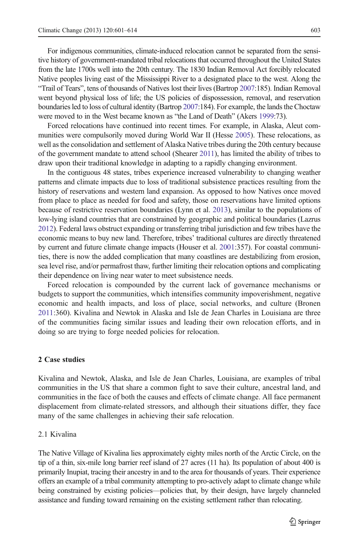For indigenous communities, climate-induced relocation cannot be separated from the sensitive history of government-mandated tribal relocations that occurred throughout the United States from the late 1700s well into the 20th century. The 1830 Indian Removal Act forcibly relocated Native peoples living east of the Mississippi River to a designated place to the west. Along the "Trail of Tears", tens of thousands of Natives lost their lives (Bartrop [2007:](#page-11-0)185). Indian Removal went beyond physical loss of life; the US policies of dispossession, removal, and reservation boundaries led to loss of cultural identity (Bartrop [2007](#page-11-0):184). For example, the lands the Choctaw were moved to in the West became known as "the Land of Death" (Akers [1999](#page-11-0):73).

Forced relocations have continued into recent times. For example, in Alaska, Aleut communities were compulsorily moved during World War II (Hesse [2005\)](#page-12-0). These relocations, as well as the consolidation and settlement of Alaska Native tribes during the 20th century because of the government mandate to attend school (Shearer [2011\)](#page-13-0), has limited the ability of tribes to draw upon their traditional knowledge in adapting to a rapidly changing environment.

In the contiguous 48 states, tribes experience increased vulnerability to changing weather patterns and climate impacts due to loss of traditional subsistence practices resulting from the history of reservations and western land expansion. As opposed to how Natives once moved from place to place as needed for food and safety, those on reservations have limited options because of restrictive reservation boundaries (Lynn et al. [2013](#page-12-0)), similar to the populations of low-lying island countries that are constrained by geographic and political boundaries (Lazrus [2012](#page-12-0)). Federal laws obstruct expanding or transferring tribal jurisdiction and few tribes have the economic means to buy new land. Therefore, tribes' traditional cultures are directly threatened by current and future climate change impacts (Houser et al. [2001](#page-12-0):357). For coastal communities, there is now the added complication that many coastlines are destabilizing from erosion, sea level rise, and/or permafrost thaw, further limiting their relocation options and complicating their dependence on living near water to meet subsistence needs.

Forced relocation is compounded by the current lack of governance mechanisms or budgets to support the communities, which intensifies community impoverishment, negative economic and health impacts, and loss of place, social networks, and culture (Bronen [2011](#page-11-0):360). Kivalina and Newtok in Alaska and Isle de Jean Charles in Louisiana are three of the communities facing similar issues and leading their own relocation efforts, and in doing so are trying to forge needed policies for relocation.

### 2 Case studies

Kivalina and Newtok, Alaska, and Isle de Jean Charles, Louisiana, are examples of tribal communities in the US that share a common fight to save their culture, ancestral land, and communities in the face of both the causes and effects of climate change. All face permanent displacement from climate-related stressors, and although their situations differ, they face many of the same challenges in achieving their safe relocation.

### 2.1 Kivalina

The Native Village of Kivalina lies approximately eighty miles north of the Arctic Circle, on the tip of a thin, six-mile long barrier reef island of 27 acres (11 ha). Its population of about 400 is primarily Inupiat, tracing their ancestry in and to the area for thousands of years. Their experience offers an example of a tribal community attempting to pro-actively adapt to climate change while being constrained by existing policies—policies that, by their design, have largely channeled assistance and funding toward remaining on the existing settlement rather than relocating.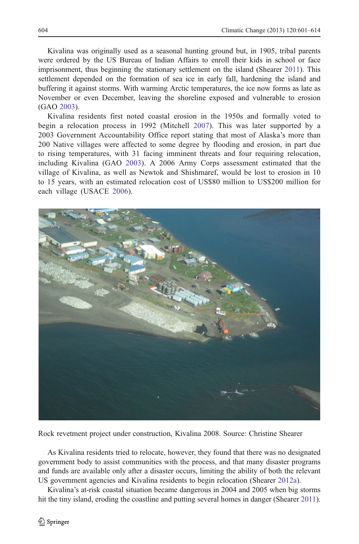Kivalina was originally used as a seasonal hunting ground but, in 1905, tribal parents were ordered by the US Bureau of Indian Affairs to enroll their kids in school or face imprisonment, thus beginning the stationary settlement on the island (Shearer [2011](#page-13-0)). This settlement depended on the formation of sea ice in early fall, hardening the island and buffering it against storms. With warming Arctic temperatures, the ice now forms as late as November or even December, leaving the shoreline exposed and vulnerable to erosion (GAO [2003\)](#page-12-0).

Kivalina residents first noted coastal erosion in the 1950s and formally voted to begin a relocation process in 1992 (Mitchell [2007](#page-12-0)). This was later supported by a 2003 Government Accountability Office report stating that most of Alaska's more than 200 Native villages were affected to some degree by flooding and erosion, in part due to rising temperatures, with 31 facing imminent threats and four requiring relocation, including Kivalina (GAO [2003](#page-12-0)). A 2006 Army Corps assessment estimated that the village of Kivalina, as well as Newtok and Shishmaref, would be lost to erosion in 10 to 15 years, with an estimated relocation cost of US\$80 million to US\$200 million for each village (USACE [2006](#page-13-0)).



Rock revetment project under construction, Kivalina 2008. Source: Christine Shearer

As Kivalina residents tried to relocate, however, they found that there was no designated government body to assist communities with the process, and that many disaster programs and funds are available only after a disaster occurs, limiting the ability of both the relevant US government agencies and Kivalina residents to begin relocation (Shearer [2012a](#page-13-0)).

Kivalina's at-risk coastal situation became dangerous in 2004 and 2005 when big storms hit the tiny island, eroding the coastline and putting several homes in danger (Shearer [2011](#page-13-0)).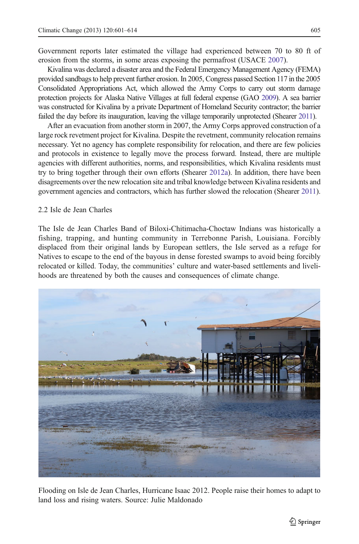Government reports later estimated the village had experienced between 70 to 80 ft of erosion from the storms, in some areas exposing the permafrost (USACE [2007](#page-13-0)).

Kivalina was declared a disaster area and the Federal Emergency Management Agency (FEMA) provided sandbags to help prevent further erosion. In 2005, Congress passed Section 117 in the 2005 Consolidated Appropriations Act, which allowed the Army Corps to carry out storm damage protection projects for Alaska Native Villages at full federal expense (GAO [2009](#page-12-0)). A sea barrier was constructed for Kivalina by a private Department of Homeland Security contractor; the barrier failed the day before its inauguration, leaving the village temporarily unprotected (Shearer [2011](#page-13-0)).

After an evacuation from another storm in 2007, the Army Corps approved construction of a large rock revetment project for Kivalina. Despite the revetment, community relocation remains necessary. Yet no agency has complete responsibility for relocation, and there are few policies and protocols in existence to legally move the process forward. Instead, there are multiple agencies with different authorities, norms, and responsibilities, which Kivalina residents must try to bring together through their own efforts (Shearer [2012a](#page-13-0)). In addition, there have been disagreements over the new relocation site and tribal knowledge between Kivalina residents and government agencies and contractors, which has further slowed the relocation (Shearer [2011](#page-13-0)).

## 2.2 Isle de Jean Charles

The Isle de Jean Charles Band of Biloxi-Chitimacha-Choctaw Indians was historically a fishing, trapping, and hunting community in Terrebonne Parish, Louisiana. Forcibly displaced from their original lands by European settlers, the Isle served as a refuge for Natives to escape to the end of the bayous in dense forested swamps to avoid being forcibly relocated or killed. Today, the communities' culture and water-based settlements and livelihoods are threatened by both the causes and consequences of climate change.



Flooding on Isle de Jean Charles, Hurricane Isaac 2012. People raise their homes to adapt to land loss and rising waters. Source: Julie Maldonado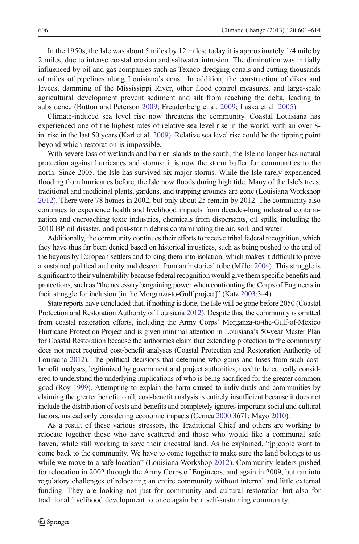In the 1950s, the Isle was about 5 miles by 12 miles; today it is approximately 1/4 mile by 2 miles, due to intense coastal erosion and saltwater intrusion. The diminution was initially influenced by oil and gas companies such as Texaco dredging canals and cutting thousands of miles of pipelines along Louisiana's coast. In addition, the construction of dikes and levees, damming of the Mississippi River, other flood control measures, and large-scale agricultural development prevent sediment and silt from reaching the delta, leading to subsidence (Button and Peterson [2009;](#page-11-0) Freudenberg et al. [2009;](#page-12-0) Laska et al. [2005\)](#page-12-0).

Climate-induced sea level rise now threatens the community. Coastal Louisiana has experienced one of the highest rates of relative sea level rise in the world, with an over 8 in. rise in the last 50 years (Karl et al. [2009](#page-12-0)). Relative sea level rise could be the tipping point beyond which restoration is impossible.

With severe loss of wetlands and barrier islands to the south, the Isle no longer has natural protection against hurricanes and storms; it is now the storm buffer for communities to the north. Since 2005, the Isle has survived six major storms. While the Isle rarely experienced flooding from hurricanes before, the Isle now floods during high tide. Many of the Isle's trees, traditional and medicinal plants, gardens, and trapping grounds are gone (Louisiana Workshop [2012](#page-12-0)). There were 78 homes in 2002, but only about 25 remain by 2012. The community also continues to experience health and livelihood impacts from decades-long industrial contamination and encroaching toxic industries, chemicals from dispersants, oil spills, including the 2010 BP oil disaster, and post-storm debris contaminating the air, soil, and water.

Additionally, the community continues their efforts to receive tribal federal recognition, which they have thus far been denied based on historical injustices, such as being pushed to the end of the bayous by European settlers and forcing them into isolation, which makes it difficult to prove a sustained political authority and descent from an historical tribe (Miller [2004\)](#page-12-0). This struggle is significant to their vulnerability because federal recognition would give them specific benefits and protections, such as "the necessary bargaining power when confronting the Corps of Engineers in their struggle for inclusion [in the Morganza-to-Gulf project]" (Katz [2003:](#page-12-0)3–4).

State reports have concluded that, if nothing is done, the Isle will be gone before 2050 (Coastal Protection and Restoration Authority of Louisiana [2012\)](#page-11-0). Despite this, the community is omitted from coastal restoration efforts, including the Army Corps' Morganza-to-the-Gulf-of-Mexico Hurricane Protection Project and is given minimal attention in Louisiana's 50-year Master Plan for Coastal Restoration because the authorities claim that extending protection to the community does not meet required cost-benefit analyses (Coastal Protection and Restoration Authority of Louisiana [2012\)](#page-11-0). The political decisions that determine who gains and loses from such costbenefit analyses, legitimized by government and project authorities, need to be critically considered to understand the underlying implications of who is being sacrificed for the greater common good (Roy [1999\)](#page-13-0). Attempting to explain the harm caused to individuals and communities by claiming the greater benefit to all, cost-benefit analysis is entirely insufficient because it does not include the distribution of costs and benefits and completely ignores important social and cultural factors, instead only considering economic impacts (Cernea [2000:](#page-11-0)3671; Mayo [2010](#page-12-0)).

As a result of these various stressors, the Traditional Chief and others are working to relocate together those who have scattered and those who would like a communal safe haven, while still working to save their ancestral land. As he explained, "[p]eople want to come back to the community. We have to come together to make sure the land belongs to us while we move to a safe location" (Louisiana Workshop [2012](#page-12-0)). Community leaders pushed for relocation in 2002 through the Army Corps of Engineers, and again in 2009, but ran into regulatory challenges of relocating an entire community without internal and little external funding. They are looking not just for community and cultural restoration but also for traditional livelihood development to once again be a self-sustaining community.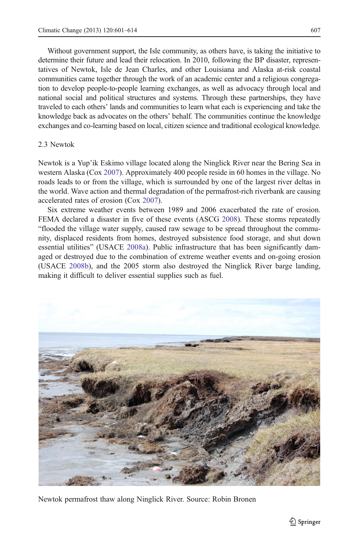Without government support, the Isle community, as others have, is taking the initiative to determine their future and lead their relocation. In 2010, following the BP disaster, representatives of Newtok, Isle de Jean Charles, and other Louisiana and Alaska at-risk coastal communities came together through the work of an academic center and a religious congregation to develop people-to-people learning exchanges, as well as advocacy through local and national social and political structures and systems. Through these partnerships, they have traveled to each others' lands and communities to learn what each is experiencing and take the knowledge back as advocates on the others' behalf. The communities continue the knowledge exchanges and co-learning based on local, citizen science and traditional ecological knowledge.

## 2.3 Newtok

Newtok is a Yup'ik Eskimo village located along the Ninglick River near the Bering Sea in western Alaska (Cox [2007](#page-11-0)). Approximately 400 people reside in 60 homes in the village. No roads leads to or from the village, which is surrounded by one of the largest river deltas in the world. Wave action and thermal degradation of the permafrost-rich riverbank are causing accelerated rates of erosion (Cox [2007](#page-11-0)).

Six extreme weather events between 1989 and 2006 exacerbated the rate of erosion. FEMA declared a disaster in five of these events (ASCG [2008\)](#page-11-0). These storms repeatedly "flooded the village water supply, caused raw sewage to be spread throughout the community, displaced residents from homes, destroyed subsistence food storage, and shut down essential utilities" (USACE [2008a](#page-13-0)). Public infrastructure that has been significantly damaged or destroyed due to the combination of extreme weather events and on-going erosion (USACE [2008b](#page-13-0)), and the 2005 storm also destroyed the Ninglick River barge landing, making it difficult to deliver essential supplies such as fuel.



Newtok permafrost thaw along Ninglick River. Source: Robin Bronen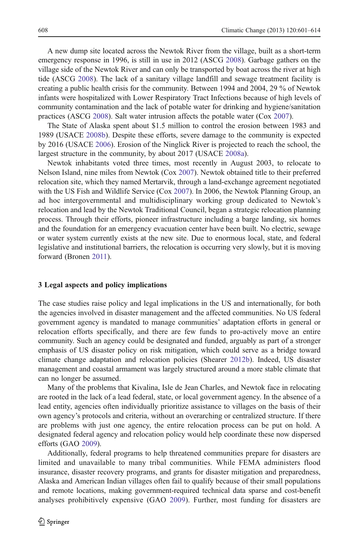A new dump site located across the Newtok River from the village, built as a short-term emergency response in 1996, is still in use in 2012 (ASCG [2008](#page-11-0)). Garbage gathers on the village side of the Newtok River and can only be transported by boat across the river at high tide (ASCG [2008\)](#page-11-0). The lack of a sanitary village landfill and sewage treatment facility is creating a public health crisis for the community. Between 1994 and 2004, 29 % of Newtok infants were hospitalized with Lower Respiratory Tract Infections because of high levels of community contamination and the lack of potable water for drinking and hygiene/sanitation practices (ASCG [2008\)](#page-11-0). Salt water intrusion affects the potable water (Cox [2007](#page-11-0)).

The State of Alaska spent about \$1.5 million to control the erosion between 1983 and 1989 (USACE [2008b](#page-13-0)). Despite these efforts, severe damage to the community is expected by 2016 (USACE [2006\)](#page-13-0). Erosion of the Ninglick River is projected to reach the school, the largest structure in the community, by about 2017 (USACE [2008a](#page-13-0)).

Newtok inhabitants voted three times, most recently in August 2003, to relocate to Nelson Island, nine miles from Newtok (Cox [2007\)](#page-11-0). Newtok obtained title to their preferred relocation site, which they named Mertarvik, through a land-exchange agreement negotiated with the US Fish and Wildlife Service (Cox [2007\)](#page-11-0). In 2006, the Newtok Planning Group, an ad hoc intergovernmental and multidisciplinary working group dedicated to Newtok's relocation and lead by the Newtok Traditional Council, began a strategic relocation planning process. Through their efforts, pioneer infrastructure including a barge landing, six homes and the foundation for an emergency evacuation center have been built. No electric, sewage or water system currently exists at the new site. Due to enormous local, state, and federal legislative and institutional barriers, the relocation is occurring very slowly, but it is moving forward (Bronen [2011](#page-11-0)).

#### 3 Legal aspects and policy implications

The case studies raise policy and legal implications in the US and internationally, for both the agencies involved in disaster management and the affected communities. No US federal government agency is mandated to manage communities' adaptation efforts in general or relocation efforts specifically, and there are few funds to pro-actively move an entire community. Such an agency could be designated and funded, arguably as part of a stronger emphasis of US disaster policy on risk mitigation, which could serve as a bridge toward climate change adaptation and relocation policies (Shearer [2012b\)](#page-13-0). Indeed, US disaster management and coastal armament was largely structured around a more stable climate that can no longer be assumed.

Many of the problems that Kivalina, Isle de Jean Charles, and Newtok face in relocating are rooted in the lack of a lead federal, state, or local government agency. In the absence of a lead entity, agencies often individually prioritize assistance to villages on the basis of their own agency's protocols and criteria, without an overarching or centralized structure. If there are problems with just one agency, the entire relocation process can be put on hold. A designated federal agency and relocation policy would help coordinate these now dispersed efforts (GAO [2009\)](#page-12-0).

Additionally, federal programs to help threatened communities prepare for disasters are limited and unavailable to many tribal communities. While FEMA administers flood insurance, disaster recovery programs, and grants for disaster mitigation and preparedness, Alaska and American Indian villages often fail to qualify because of their small populations and remote locations, making government-required technical data sparse and cost-benefit analyses prohibitively expensive (GAO [2009](#page-12-0)). Further, most funding for disasters are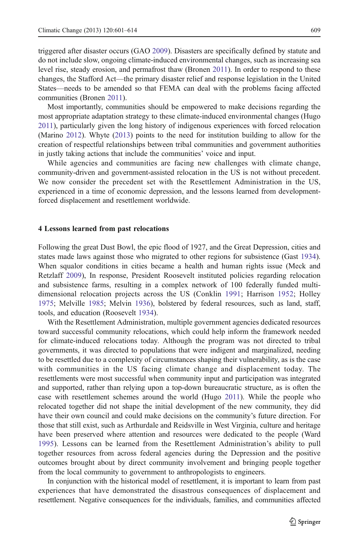triggered after disaster occurs (GAO [2009](#page-12-0)). Disasters are specifically defined by statute and do not include slow, ongoing climate-induced environmental changes, such as increasing sea level rise, steady erosion, and permafrost thaw (Bronen [2011\)](#page-11-0). In order to respond to these changes, the Stafford Act—the primary disaster relief and response legislation in the United States—needs to be amended so that FEMA can deal with the problems facing affected communities (Bronen [2011](#page-11-0)).

Most importantly, communities should be empowered to make decisions regarding the most appropriate adaptation strategy to these climate-induced environmental changes (Hugo [2011](#page-12-0)), particularly given the long history of indigenous experiences with forced relocation (Marino [2012\)](#page-12-0). Whyte ([2013\)](#page-13-0) points to the need for institution building to allow for the creation of respectful relationships between tribal communities and government authorities in justly taking actions that include the communities' voice and input.

While agencies and communities are facing new challenges with climate change, community-driven and government-assisted relocation in the US is not without precedent. We now consider the precedent set with the Resettlement Administration in the US, experienced in a time of economic depression, and the lessons learned from developmentforced displacement and resettlement worldwide.

#### 4 Lessons learned from past relocations

Following the great Dust Bowl, the epic flood of 1927, and the Great Depression, cities and states made laws against those who migrated to other regions for subsistence (Gast [1934](#page-12-0)). When squalor conditions in cities became a health and human rights issue (Meck and Retzlaff [2009\)](#page-12-0), In response, President Roosevelt instituted policies regarding relocation and subsistence farms, resulting in a complex network of 100 federally funded multidimensional relocation projects across the US (Conklin [1991](#page-11-0); Harrison [1952](#page-12-0); Holley [1975;](#page-12-0) Melville [1985](#page-12-0); Melvin [1936](#page-12-0)), bolstered by federal resources, such as land, staff, tools, and education (Roosevelt [1934](#page-13-0)).

With the Resettlement Administration, multiple government agencies dedicated resources toward successful community relocations, which could help inform the framework needed for climate-induced relocations today. Although the program was not directed to tribal governments, it was directed to populations that were indigent and marginalized, needing to be resettled due to a complexity of circumstances shaping their vulnerability, as is the case with communities in the US facing climate change and displacement today. The resettlements were most successful when community input and participation was integrated and supported, rather than relying upon a top-down bureaucratic structure, as is often the case with resettlement schemes around the world (Hugo [2011](#page-12-0)). While the people who relocated together did not shape the initial development of the new community, they did have their own council and could make decisions on the community's future direction. For those that still exist, such as Arthurdale and Reidsville in West Virginia, culture and heritage have been preserved where attention and resources were dedicated to the people (Ward [1995](#page-13-0)). Lessons can be learned from the Resettlement Administration's ability to pull together resources from across federal agencies during the Depression and the positive outcomes brought about by direct community involvement and bringing people together from the local community to government to anthropologists to engineers.

In conjunction with the historical model of resettlement, it is important to learn from past experiences that have demonstrated the disastrous consequences of displacement and resettlement. Negative consequences for the individuals, families, and communities affected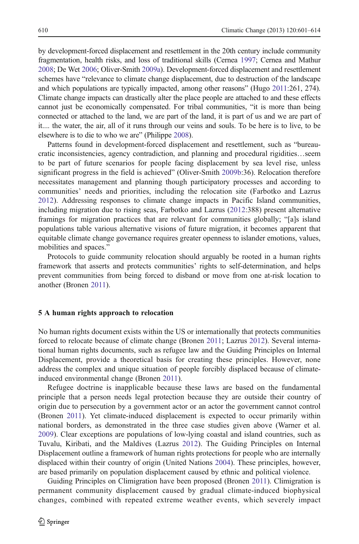by development-forced displacement and resettlement in the 20th century include community fragmentation, health risks, and loss of traditional skills (Cernea [1997](#page-11-0); Cernea and Mathur [2008](#page-11-0); De Wet [2006;](#page-11-0) Oliver-Smith [2009a](#page-13-0)). Development-forced displacement and resettlement schemes have "relevance to climate change displacement, due to destruction of the landscape and which populations are typically impacted, among other reasons" (Hugo [2011:](#page-12-0)261, 274). Climate change impacts can drastically alter the place people are attached to and these effects cannot just be economically compensated. For tribal communities, "it is more than being connected or attached to the land, we are part of the land, it is part of us and we are part of it.... the water, the air, all of it runs through our veins and souls. To be here is to live, to be elsewhere is to die to who we are" (Philippe [2008](#page-13-0)).

Patterns found in development-forced displacement and resettlement, such as "bureaucratic inconsistencies, agency contradiction, and planning and procedural rigidities…seem to be part of future scenarios for people facing displacement by sea level rise, unless significant progress in the field is achieved" (Oliver-Smith [2009b](#page-13-0):36). Relocation therefore necessitates management and planning though participatory processes and according to communities' needs and priorities, including the relocation site (Farbotko and Lazrus [2012\)](#page-11-0). Addressing responses to climate change impacts in Pacific Island communities, including migration due to rising seas, Farbotko and Lazrus ([2012](#page-11-0):388) present alternative framings for migration practices that are relevant for communities globally; "[a]s island populations table various alternative visions of future migration, it becomes apparent that equitable climate change governance requires greater openness to islander emotions, values, mobilities and spaces."

Protocols to guide community relocation should arguably be rooted in a human rights framework that asserts and protects communities' rights to self-determination, and helps prevent communities from being forced to disband or move from one at-risk location to another (Bronen [2011\)](#page-11-0).

#### 5 A human rights approach to relocation

No human rights document exists within the US or internationally that protects communities forced to relocate because of climate change (Bronen [2011;](#page-11-0) Lazrus [2012](#page-12-0)). Several international human rights documents, such as refugee law and the Guiding Principles on Internal Displacement, provide a theoretical basis for creating these principles. However, none address the complex and unique situation of people forcibly displaced because of climateinduced environmental change (Bronen [2011\)](#page-11-0).

Refugee doctrine is inapplicable because these laws are based on the fundamental principle that a person needs legal protection because they are outside their country of origin due to persecution by a government actor or an actor the government cannot control (Bronen [2011](#page-11-0)). Yet climate-induced displacement is expected to occur primarily within national borders, as demonstrated in the three case studies given above (Warner et al. [2009\)](#page-13-0). Clear exceptions are populations of low-lying coastal and island countries, such as Tuvalu, Kiribati, and the Maldives (Lazrus [2012](#page-12-0)). The Guiding Principles on Internal Displacement outline a framework of human rights protections for people who are internally displaced within their country of origin (United Nations [2004](#page-13-0)). These principles, however, are based primarily on population displacement caused by ethnic and political violence.

Guiding Principles on Climigration have been proposed (Bronen [2011](#page-11-0)). Climigration is permanent community displacement caused by gradual climate-induced biophysical changes, combined with repeated extreme weather events, which severely impact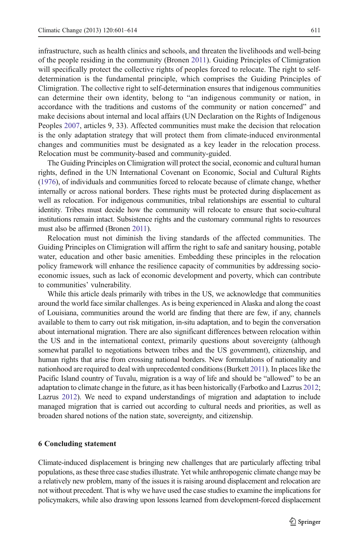infrastructure, such as health clinics and schools, and threaten the livelihoods and well-being of the people residing in the community (Bronen [2011\)](#page-11-0). Guiding Principles of Climigration will specifically protect the collective rights of peoples forced to relocate. The right to selfdetermination is the fundamental principle, which comprises the Guiding Principles of Climigration. The collective right to self-determination ensures that indigenous communities can determine their own identity, belong to "an indigenous community or nation, in accordance with the traditions and customs of the community or nation concerned" and make decisions about internal and local affairs (UN Declaration on the Rights of Indigenous Peoples [2007,](#page-13-0) articles 9, 33). Affected communities must make the decision that relocation is the only adaptation strategy that will protect them from climate-induced environmental changes and communities must be designated as a key leader in the relocation process. Relocation must be community-based and community-guided.

The Guiding Principles on Climigration will protect the social, economic and cultural human rights, defined in the UN International Covenant on Economic, Social and Cultural Rights ([1976](#page-13-0)), of individuals and communities forced to relocate because of climate change, whether internally or across national borders. These rights must be protected during displacement as well as relocation. For indigenous communities, tribal relationships are essential to cultural identity. Tribes must decide how the community will relocate to ensure that socio-cultural institutions remain intact. Subsistence rights and the customary communal rights to resources must also be affirmed (Bronen [2011](#page-11-0)).

Relocation must not diminish the living standards of the affected communities. The Guiding Principles on Climigration will affirm the right to safe and sanitary housing, potable water, education and other basic amenities. Embedding these principles in the relocation policy framework will enhance the resilience capacity of communities by addressing socioeconomic issues, such as lack of economic development and poverty, which can contribute to communities' vulnerability.

While this article deals primarily with tribes in the US, we acknowledge that communities around the world face similar challenges. As is being experienced in Alaska and along the coast of Louisiana, communities around the world are finding that there are few, if any, channels available to them to carry out risk mitigation, in-situ adaptation, and to begin the conversation about international migration. There are also significant differences between relocation within the US and in the international context, primarily questions about sovereignty (although somewhat parallel to negotiations between tribes and the US government), citizenship, and human rights that arise from crossing national borders. New formulations of nationality and nationhood are required to deal with unprecedented conditions (Burkett [2011\)](#page-11-0). In places like the Pacific Island country of Tuvalu, migration is a way of life and should be "allowed" to be an adaptation to climate change in the future, as it has been historically (Farbotko and Lazrus [2012](#page-11-0); Lazrus [2012](#page-12-0)). We need to expand understandings of migration and adaptation to include managed migration that is carried out according to cultural needs and priorities, as well as broaden shared notions of the nation state, sovereignty, and citizenship.

#### 6 Concluding statement

Climate-induced displacement is bringing new challenges that are particularly affecting tribal populations, as these three case studies illustrate. Yet while anthropogenic climate change may be a relatively new problem, many of the issues it is raising around displacement and relocation are not without precedent. That is why we have used the case studies to examine the implications for policymakers, while also drawing upon lessons learned from development-forced displacement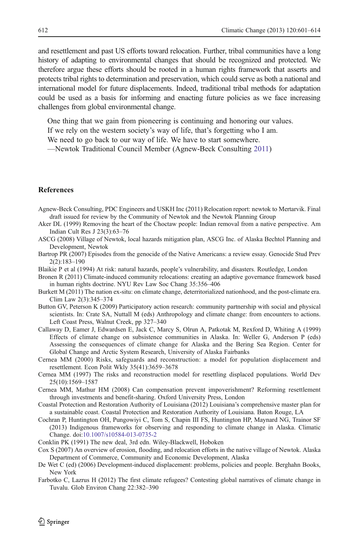<span id="page-11-0"></span>and resettlement and past US efforts toward relocation. Further, tribal communities have a long history of adapting to environmental changes that should be recognized and protected. We therefore argue these efforts should be rooted in a human rights framework that asserts and protects tribal rights to determination and preservation, which could serve as both a national and international model for future displacements. Indeed, traditional tribal methods for adaptation could be used as a basis for informing and enacting future policies as we face increasing challenges from global environmental change.

One thing that we gain from pioneering is continuing and honoring our values.

- If we rely on the western society's way of life, that's forgetting who I am.
- We need to go back to our way of life. We have to start somewhere.
- —Newtok Traditional Council Member (Agnew-Beck Consulting 2011)

### References

- Agnew-Beck Consulting, PDC Engineers and USKH Inc (2011) Relocation report: newtok to Mertarvik. Final draft issued for review by the Community of Newtok and the Newtok Planning Group
- Aker DL (1999) Removing the heart of the Choctaw people: Indian removal from a native perspective. Am Indian Cult Res J 23(3):63–76
- ASCG (2008) Village of Newtok, local hazards mitigation plan, ASCG Inc. of Alaska Bechtol Planning and Development, Newtok
- Bartrop PR (2007) Episodes from the genocide of the Native Americans: a review essay. Genocide Stud Prev 2(2):183–190
- Blaikie P et al (1994) At risk: natural hazards, people's vulnerability, and disasters. Routledge, London
- Bronen R (2011) Climate-induced community relocations: creating an adaptive governance framework based in human rights doctrine. NYU Rev Law Soc Chang 35:356–406
- Burkett M (2011) The nation ex-situ: on climate change, deterritorialized nationhood, and the post-climate era. Clim Law 2(3):345–374
- Button GV, Peterson K (2009) Participatory action research: community partnership with social and physical scientists. In: Crate SA, Nuttall M (eds) Anthropology and climate change: from encounters to actions. Left Coast Press, Walnut Creek, pp 327–340
- Callaway D, Eamer J, Edwardsen E, Jack C, Marcy S, Olrun A, Patkotak M, Rexford D, Whiting A (1999) Effects of climate change on subsistence communities in Alaska. In: Weller G, Anderson P (eds) Assessing the consequences of climate change for Alaska and the Bering Sea Region. Center for Global Change and Arctic System Research, University of Alaska Fairbanks
- Cernea MM (2000) Risks, safeguards and reconstruction: a model for population displacement and resettlement. Econ Polit Wkly 35(41):3659–3678
- Cernea MM (1997) The risks and reconstruction model for resettling displaced populations. World Dev 25(10):1569–1587
- Cernea MM, Mathur HM (2008) Can compensation prevent impoverishment? Reforming resettlement through investments and benefit-sharing. Oxford University Press, London
- Coastal Protection and Restoration Authority of Louisiana (2012) Louisiana's comprehensive master plan for a sustainable coast. Coastal Protection and Restoration Authority of Louisiana. Baton Rouge, LA
- Cochran P, Huntington OH, Pungowiyi C, Tom S, Chapin III FS, Huntington HP, Maynard NG, Trainor SF (2013) Indigenous frameworks for observing and responding to climate change in Alaska. Climatic Change. doi:[10.1007/s10584-013-0735-2](http://dx.doi.org/10.1007/s10584-013-0735-2)
- Conklin PK (1991) The new deal, 3rd edn. Wiley-Blackwell, Hoboken
- Cox S (2007) An overview of erosion, flooding, and relocation efforts in the native village of Newtok. Alaska Department of Commerce, Community and Economic Development, Alaska
- De Wet C (ed) (2006) Development-induced displacement: problems, policies and people. Berghahn Books, New York
- Farbotko C, Lazrus H (2012) The first climate refugees? Contesting global narratives of climate change in Tuvalu. Glob Environ Chang 22:382–390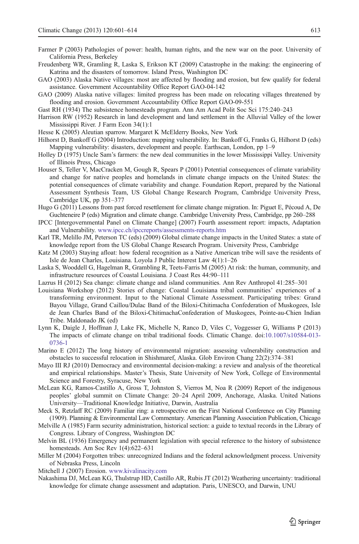<span id="page-12-0"></span>Farmer P (2003) Pathologies of power: health, human rights, and the new war on the poor. University of California Press, Berkeley

- Freudenberg WR, Gramling R, Laska S, Erikson KT (2009) Catastrophe in the making: the engineering of Katrina and the disasters of tomorrow. Island Press, Washington DC
- GAO (2003) Alaska Native villages: most are affected by flooding and erosion, but few qualify for federal assistance. Government Accountability Office Report GAO-04-142
- GAO (2009) Alaska native villages: limited progress has been made on relocating villages threatened by flooding and erosion. Government Accountability Office Report GAO-09-551
- Gast RH (1934) The subsistence homesteads program. Ann Am Acad Polit Soc Sci 175:240–243
- Harrison RW (1952) Research in land development and land settlement in the Alluvial Valley of the lower Mississippi River. J Farm Econ 34(1):1
- Hesse K (2005) Aleutian sparrow. Margaret K McElderry Books, New York
- Hilhorst D, Bankoff G (2004) Introduction: mapping vulnerability. In: Bankoff G, Franks G, Hilhorst D (eds) Mapping vulnerability: disasters, development and people. Earthscan, London, pp 1–9
- Holley D (1975) Uncle Sam's farmers: the new deal communities in the lower Mississippi Valley. University of Illinois Press, Chicago
- Houser S, Teller V, MacCracken M, Gough R, Spears P (2001) Potential consequences of climate variability and change for native peoples and homelands in climate change impacts on the United States: the potential consequences of climate variability and change. Foundation Report, prepared by the National Assessment Synthesis Team, US Global Change Research Program, Cambridge University Press, Cambridge UK, pp 351–377
- Hugo G (2011) Lessons from past forced resettlement for climate change migration. In: Piguet E, Pécoud A, De Guchteneire P (eds) Migration and climate change. Cambridge University Press, Cambridge, pp 260–288
- IPCC [Intergovernmental Panel on Climate Change] (2007) Fourth assessment report: impacts, Adaptation and Vulnerability. [www.ipcc.ch/ipccreports/assessments-reports.htm](http://www.ipcc.ch/ipccreports/assessments-reports.htm)
- Karl TR, Melillo JM, Peterson TC (eds) (2009) Global climate change impacts in the United States: a state of knowledge report from the US Global Change Research Program. University Press, Cambridge
- Katz M (2003) Staying afloat: how federal recognition as a Native American tribe will save the residents of Isle de Jean Charles, Louisiana. Loyola J Public Interest Law 4(1):1–26
- Laska S, Wooddell G, Hagelman R, Grambling R, Teets-Farris M (2005) At risk: the human, community, and infrastructure resources of Coastal Louisiana. J Coast Res 44:90–111
- Lazrus H (2012) Sea change: climate change and island communities. Ann Rev Anthropol 41:285–301
- Louisiana Workshop (2012) Stories of change: Coastal Louisiana tribal communities' experiences of a transforming environment. Input to the National Climate Assessment. Participating tribes: Grand Bayou Village, Grand Caillou/Dulac Band of the Biloxi-Chitimacha Confederation of Muskogees, Isle de Jean Charles Band of the Biloxi-ChitimachaConfederation of Muskogees, Pointe-au-Chien Indian Tribe. Maldonado JK (ed)
- Lynn K, Daigle J, Hoffman J, Lake FK, Michelle N, Ranco D, Viles C, Voggesser G, Williams P (2013) The impacts of climate change on tribal traditional foods. Climatic Change. doi:[10.1007/s10584-013-](http://dx.doi.org/10.1007/s10584-013-0736-1) [0736-1](http://dx.doi.org/10.1007/s10584-013-0736-1)
- Marino E (2012) The long history of environmental migration: assessing vulnerability construction and obstacles to successful relocation in Shishmaref, Alaska. Glob Environ Chang 22(2):374–381
- Mayo III RJ (2010) Democracy and environmental decision-making: a review and analysis of the theoretical and empirical relationships. Master's Thesis, State University of New York, College of Environmental Science and Forestry, Syracuse, New York
- McLean KG, Ramos-Castillo A, Gross T, Johnston S, Vierros M, Noa R (2009) Report of the indigenous peoples' global summit on Climate Change: 20–24 April 2009, Anchorage, Alaska. United Nations University—Traditional Knowledge Initiative, Darwin, Australia
- Meck S, Retzlaff RC (2009) Familiar ring: a retrospective on the First National Conference on City Planning (1909). Planning & Environmental Law Commentary. American Planning Association Publication, Chicago
- Melville A (1985) Farm security administration, historical section: a guide to textual records in the Library of Congress. Library of Congress, Washington DC
- Melvin BL (1936) Emergency and permanent legislation with special reference to the history of subsistence homesteads. Am Soc Rev 1(4):622–631
- Miller M (2004) Forgotten tribes: unrecognized Indians and the federal acknowledgment process. University of Nebraska Press, Lincoln

Mitchell J (2007) Erosion. [www.kivalinacity.com](http://www.kivalinacity.com)

Nakashima DJ, McLean KG, Thulstrup HD, Castillo AR, Rubis JT (2012) Weathering uncertainty: traditional knowledge for climate change assessment and adaptation. Paris, UNESCO, and Darwin, UNU